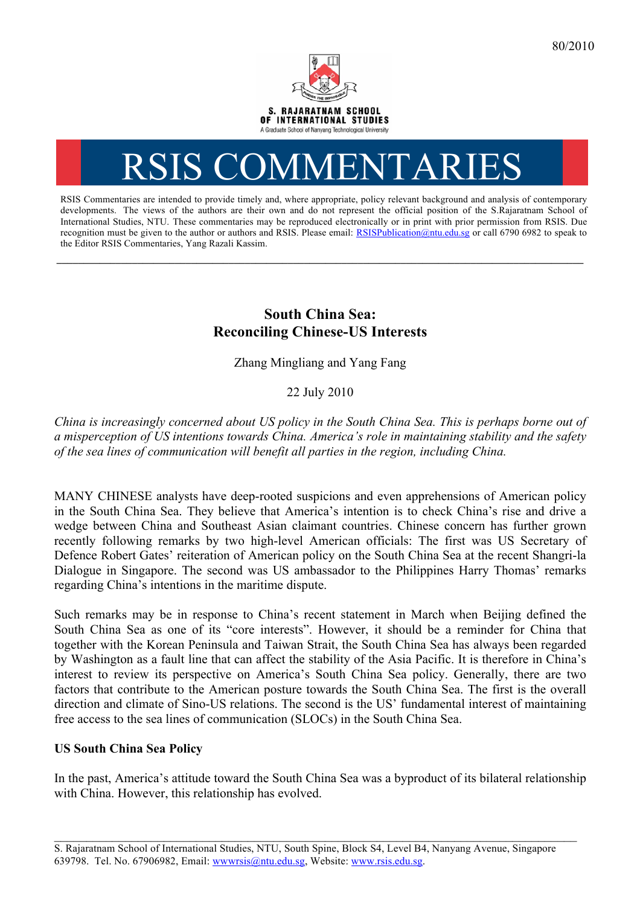

# RSIS COMMENTARI

RSIS Commentaries are intended to provide timely and, where appropriate, policy relevant background and analysis of contemporary developments. The views of the authors are their own and do not represent the official position of the S.Rajaratnam School of International Studies, NTU. These commentaries may be reproduced electronically or in print with prior permission from RSIS. Due recognition must be given to the author or authors and RSIS. Please email: RSISPublication@ntu.edu.sg or call 6790 6982 to speak to the Editor RSIS Commentaries, Yang Razali Kassim.

**\_\_\_\_\_\_\_\_\_\_\_\_\_\_\_\_\_\_\_\_\_\_\_\_\_\_\_\_\_\_\_\_\_\_\_\_\_\_\_\_\_\_\_\_\_\_\_\_\_\_\_\_\_\_\_\_\_\_\_\_\_\_\_\_\_\_\_\_\_\_\_\_\_\_\_\_\_\_\_\_\_\_\_\_\_\_\_\_\_\_\_\_\_\_\_\_\_\_**

## **South China Sea: Reconciling Chinese-US Interests**

Zhang Mingliang and Yang Fang

### 22 July 2010

*China is increasingly concerned about US policy in the South China Sea. This is perhaps borne out of a misperception of US intentions towards China. America's role in maintaining stability and the safety of the sea lines of communication will benefit all parties in the region, including China.*

MANY CHINESE analysts have deep-rooted suspicions and even apprehensions of American policy in the South China Sea. They believe that America's intention is to check China's rise and drive a wedge between China and Southeast Asian claimant countries. Chinese concern has further grown recently following remarks by two high-level American officials: The first was US Secretary of Defence Robert Gates' reiteration of American policy on the South China Sea at the recent Shangri-la Dialogue in Singapore. The second was US ambassador to the Philippines Harry Thomas' remarks regarding China's intentions in the maritime dispute.

Such remarks may be in response to China's recent statement in March when Beijing defined the South China Sea as one of its "core interests". However, it should be a reminder for China that together with the Korean Peninsula and Taiwan Strait, the South China Sea has always been regarded by Washington as a fault line that can affect the stability of the Asia Pacific. It is therefore in China's interest to review its perspective on America's South China Sea policy. Generally, there are two factors that contribute to the American posture towards the South China Sea. The first is the overall direction and climate of Sino-US relations. The second is the US' fundamental interest of maintaining free access to the sea lines of communication (SLOCs) in the South China Sea.

#### **US South China Sea Policy**

In the past, America's attitude toward the South China Sea was a byproduct of its bilateral relationship with China. However, this relationship has evolved.

\_\_\_\_\_\_\_\_\_\_\_\_\_\_\_\_\_\_\_\_\_\_\_\_\_\_\_\_\_\_\_\_\_\_\_\_\_\_\_\_\_\_\_\_\_\_\_\_\_\_\_\_\_\_\_\_\_\_\_\_\_\_\_\_\_\_\_\_\_\_\_\_\_\_\_\_\_\_\_\_\_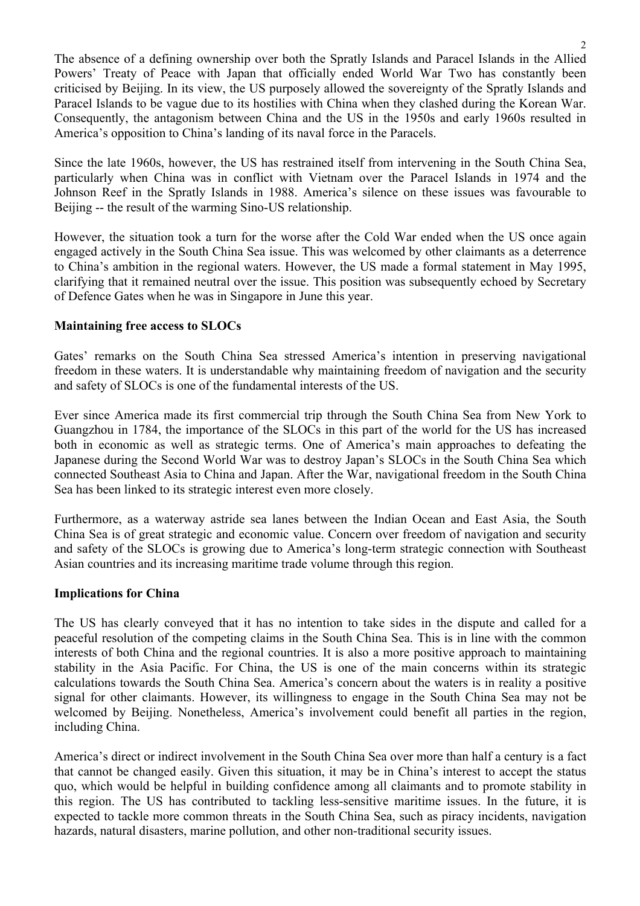The absence of a defining ownership over both the Spratly Islands and Paracel Islands in the Allied Powers' Treaty of Peace with Japan that officially ended World War Two has constantly been criticised by Beijing. In its view, the US purposely allowed the sovereignty of the Spratly Islands and Paracel Islands to be vague due to its hostilies with China when they clashed during the Korean War. Consequently, the antagonism between China and the US in the 1950s and early 1960s resulted in America's opposition to China's landing of its naval force in the Paracels.

Since the late 1960s, however, the US has restrained itself from intervening in the South China Sea, particularly when China was in conflict with Vietnam over the Paracel Islands in 1974 and the Johnson Reef in the Spratly Islands in 1988. America's silence on these issues was favourable to Beijing -- the result of the warming Sino-US relationship.

However, the situation took a turn for the worse after the Cold War ended when the US once again engaged actively in the South China Sea issue. This was welcomed by other claimants as a deterrence to China's ambition in the regional waters. However, the US made a formal statement in May 1995, clarifying that it remained neutral over the issue. This position was subsequently echoed by Secretary of Defence Gates when he was in Singapore in June this year.

#### **Maintaining free access to SLOCs**

Gates' remarks on the South China Sea stressed America's intention in preserving navigational freedom in these waters. It is understandable why maintaining freedom of navigation and the security and safety of SLOCs is one of the fundamental interests of the US.

Ever since America made its first commercial trip through the South China Sea from New York to Guangzhou in 1784, the importance of the SLOCs in this part of the world for the US has increased both in economic as well as strategic terms. One of America's main approaches to defeating the Japanese during the Second World War was to destroy Japan's SLOCs in the South China Sea which connected Southeast Asia to China and Japan. After the War, navigational freedom in the South China Sea has been linked to its strategic interest even more closely.

Furthermore, as a waterway astride sea lanes between the Indian Ocean and East Asia, the South China Sea is of great strategic and economic value. Concern over freedom of navigation and security and safety of the SLOCs is growing due to America's long-term strategic connection with Southeast Asian countries and its increasing maritime trade volume through this region.

#### **Implications for China**

The US has clearly conveyed that it has no intention to take sides in the dispute and called for a peaceful resolution of the competing claims in the South China Sea. This is in line with the common interests of both China and the regional countries. It is also a more positive approach to maintaining stability in the Asia Pacific. For China, the US is one of the main concerns within its strategic calculations towards the South China Sea. America's concern about the waters is in reality a positive signal for other claimants. However, its willingness to engage in the South China Sea may not be welcomed by Beijing. Nonetheless, America's involvement could benefit all parties in the region, including China.

America's direct or indirect involvement in the South China Sea over more than half a century is a fact that cannot be changed easily. Given this situation, it may be in China's interest to accept the status quo, which would be helpful in building confidence among all claimants and to promote stability in this region. The US has contributed to tackling less-sensitive maritime issues. In the future, it is expected to tackle more common threats in the South China Sea, such as piracy incidents, navigation hazards, natural disasters, marine pollution, and other non-traditional security issues.